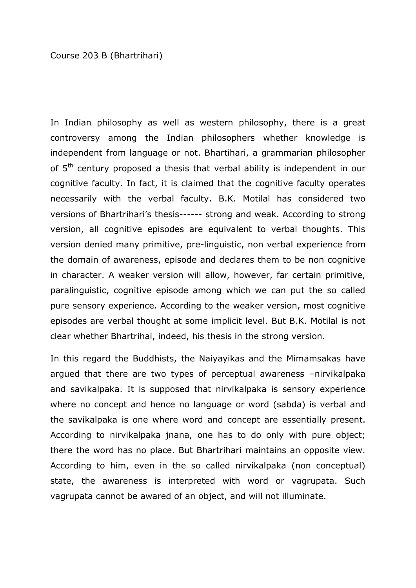In Indian philosophy as well as western philosophy, there is a great controversy among the Indian philosophers whether knowledge is independent from language or not. Bhartihari, a grammarian philosopher of 5<sup>th</sup> century proposed a thesis that verbal ability is independent in our cognitive faculty. In fact, it is claimed that the cognitive faculty operates necessarily with the verbal faculty. B.K. Motilal has considered two versions of Bhartrihari's thesis------ strong and weak. According to strong version, all cognitive episodes are equivalent to verbal thoughts. This version denied many primitive, pre-linguistic, non verbal experience from the domain of awareness, episode and declares them to be non cognitive in character. A weaker version will allow, however, far certain primitive, paralinguistic, cognitive episode among which we can put the so called pure sensory experience. According to the weaker version, most cognitive episodes are verbal thought at some implicit level. But B.K. Motilal is not clear whether Bhartrihai, indeed, his thesis in the strong version.

In this regard the Buddhists, the Naiyayikas and the Mimamsakas have argued that there are two types of perceptual awareness –nirvikalpaka and savikalpaka. It is supposed that nirvikalpaka is sensory experience where no concept and hence no language or word (sabda) is verbal and the savikalpaka is one where word and concept are essentially present. According to nirvikalpaka jnana, one has to do only with pure object; there the word has no place. But Bhartrihari maintains an opposite view. According to him, even in the so called nirvikalpaka (non conceptual) state, the awareness is interpreted with word or vagrupata. Such vagrupata cannot be awared of an object, and will not illuminate.